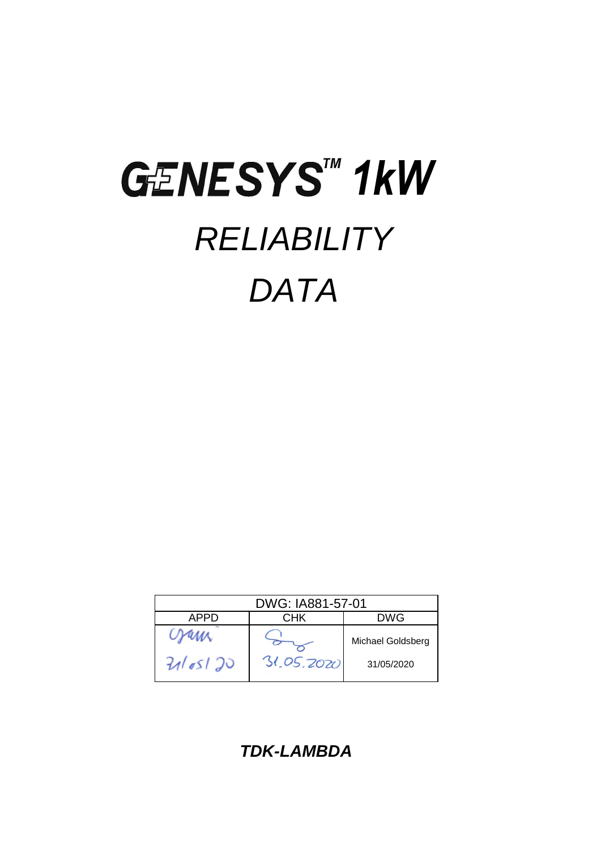# GENESYS<sup>IM</sup> 1kW *RELIABILITY DATA*

| DWG: IA881-57-01 |            |                   |  |  |  |  |
|------------------|------------|-------------------|--|--|--|--|
| APPD             | CHK        | DWG               |  |  |  |  |
|                  |            | Michael Goldsberg |  |  |  |  |
| 2165120          | 31.05.2020 | 31/05/2020        |  |  |  |  |

*TDK-LAMBDA*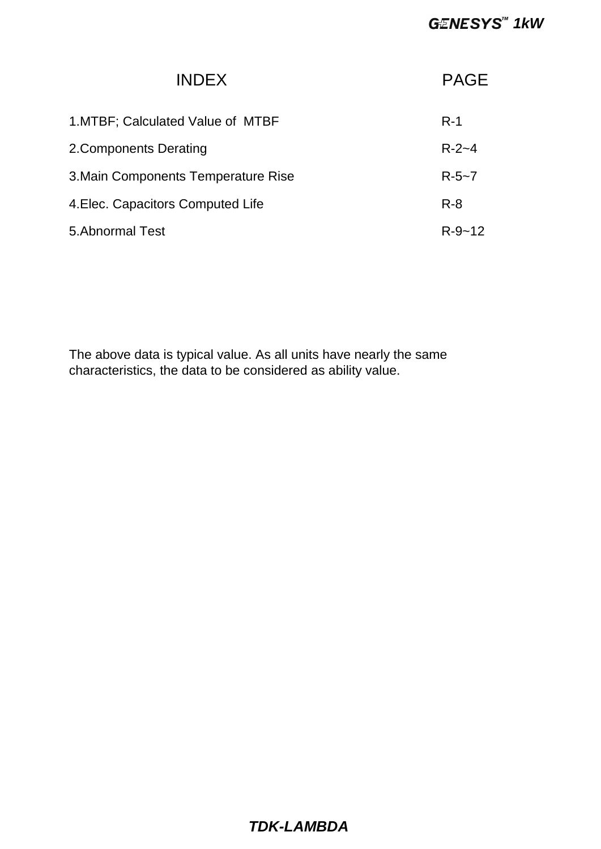| <b>INDEX</b>                        | <b>PAGF</b>  |
|-------------------------------------|--------------|
| 1. MTBF: Calculated Value of MTBF   | $R-1$        |
| 2. Components Derating              | $R - 2 - 4$  |
| 3. Main Components Temperature Rise | $R - 5 - 7$  |
| 4. Elec. Capacitors Computed Life   | $R - 8$      |
| 5. Abnormal Test                    | $R - 9 - 12$ |

The above data is typical value. As all units have nearly the same characteristics, the data to be considered as ability value.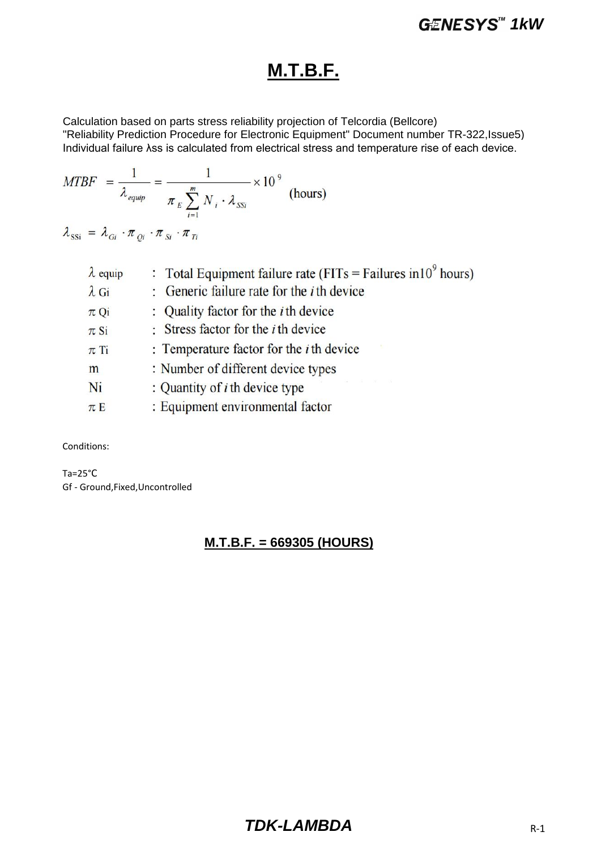### **M.T.B.F.**

Calculation based on parts stress reliability projection of Telcordia (Bellcore) "Reliability Prediction Procedure for Electronic Equipment" Document number TR-322,Issue5) Individual failure λss is calculated from electrical stress and temperature rise of each device.

$$
MTBF = \frac{1}{\lambda_{\text{equiv}}} = \frac{1}{\pi_E \sum_{i=1}^{m} N_i \cdot \lambda_{SSi}} \times 10^9 \text{ (hours)}
$$

 $\lambda_{\rm SSi} = \lambda_{Gi} \cdot \pi_{Qi} \cdot \pi_{Si} \cdot \pi_{Ti}$ 

| $\lambda$ equip | : Total Equipment failure rate (FITs = Failures in $10^9$ hours) |
|-----------------|------------------------------------------------------------------|
| $\lambda$ Gi    | : Generic failure rate for the $i$ th device                     |
| $\pi$ Qi        | : Quality factor for the <i>i</i> th device                      |
| $\pi$ Si        | : Stress factor for the $i$ th device                            |
| $\pi$ Ti        | : Temperature factor for the $i$ th device                       |
| m               | : Number of different device types                               |
| Ni              | The control of the control<br>: Quantity of $i$ th device type   |
| $\pi E$         | : Equipment environmental factor                                 |
|                 |                                                                  |

Conditions:

Ta=25°C Gf - Ground,Fixed,Uncontrolled

### **M.T.B.F. = 669305 (HOURS)**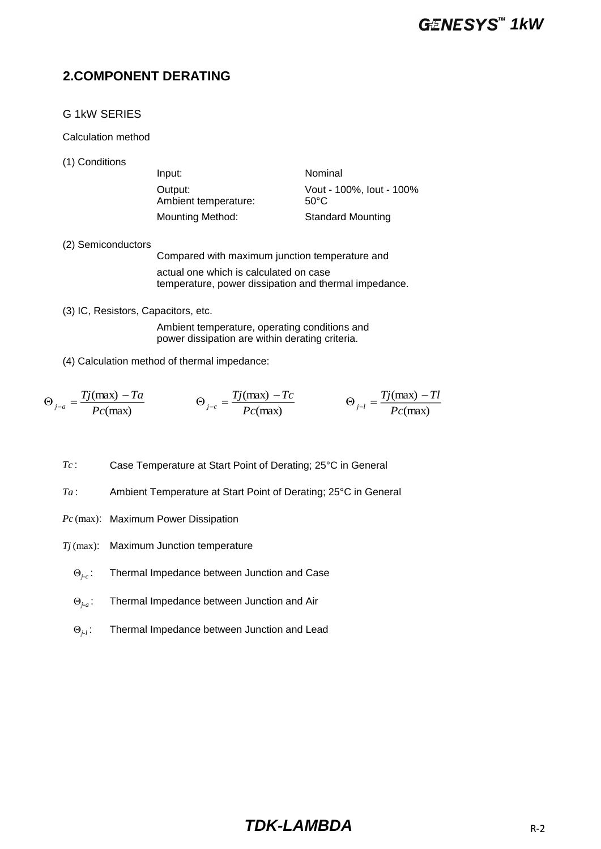### **2.COMPONENT DERATING**

### G 1kW SERIES

Calculation method

(1) Conditions

| Input:                          | Nominal                          |
|---------------------------------|----------------------------------|
| Output:<br>Ambient temperature: | Vout - 100%, lout - 100%<br>50°C |
| Mounting Method:                | <b>Standard Mounting</b>         |

(2) Semiconductors

Compared with maximum junction temperature and actual one which is calculated on case temperature, power dissipation and thermal impedance.

(3) IC, Resistors, Capacitors, etc.

Ambient temperature, operating conditions and power dissipation are within derating criteria.

(4) Calculation method of thermal impedance:

$$
\Theta_{j-a} = \frac{Tj(\text{max}) - Ta}{Pc(\text{max})} \qquad \Theta_{j-c} = \frac{Tj(\text{max}) - Tc}{Pc(\text{max})} \qquad \Theta_{j-l} = \frac{Tj(\text{max}) - Tl}{Pc(\text{max})}
$$

*Tc* : Case Temperature at Start Point of Derating; 25°C in General

- *Ta* : Ambient Temperature at Start Point of Derating; 25°C in General
- *Pc* (max): Maximum Power Dissipation
- *Tj* (max): Maximum Junction temperature
	- Θ*j-c* : Thermal Impedance between Junction and Case
	- Θ*j-a* : Thermal Impedance between Junction and Air
	- Θ*j-l* : Thermal Impedance between Junction and Lead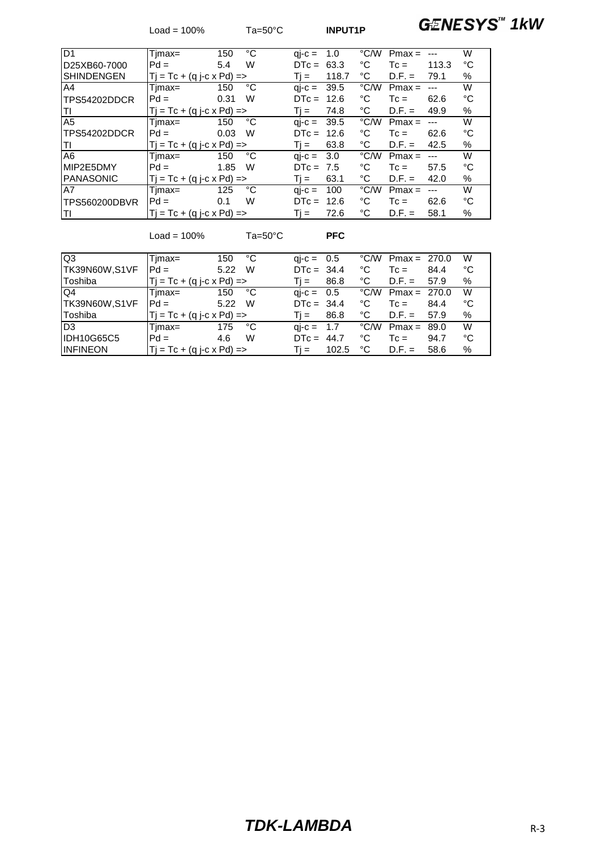Load = 100% Ta=50°C **INPUT1P GENESYS<sup>TM</sup> 1kW** 

| ID1               | Timax=                              | 150  | °C | $q - c =$                         | 1.0   | °C/W | $Pmax =$ |           | W    |
|-------------------|-------------------------------------|------|----|-----------------------------------|-------|------|----------|-----------|------|
| D25XB60-7000      | $Pd =$                              | 5.4  | W  | $DTC = 63.3$                      |       | ℃    | $T_c =$  | 113.3     | °C   |
| <b>SHINDENGEN</b> | $Tj = Tc + (q j - c \times Pd) = >$ |      |    | Ti =                              | 118.7 | °C   | $D.F. =$ | 79.1      | %    |
| A4                | Timax=                              | 150  | °C | $\mathsf{a}-\mathsf{c} =$         | 39.5  | °C/W | $Pmax =$ |           | W    |
| TPS54202DDCR      | $Pd =$                              | 0.31 | W  | $DTC =$                           | 12.6  | ℃    | $T_c =$  | 62.6      | °C   |
| ITI               | $Tj = Tc + (q j - c \times Pd) = >$ |      |    | $Ti =$                            | 74.8  | °C   | $D.F. =$ | 49.9      | %    |
| A <sub>5</sub>    | Timax=                              | 150  | °C | $\mathsf{ai}\text{-}\mathsf{c} =$ | 39.5  | °C/W | $Pmax =$ |           | W    |
| TPS54202DDCR      | $Pd =$                              | 0.03 | W  | $DTC = 12.6$                      |       | °C   | $T_c =$  | 62.6      | °C   |
| ΙTΙ               | $Tj = Tc + (q j - c \times Pd) = >$ |      |    | $Ti =$                            | 63.8  | °C   | $D.F. =$ | 42.5      | $\%$ |
| A <sub>6</sub>    | Timax=                              | 150  | °C | $qi-c = 3.0$                      |       | °C∕W | $Pmax =$ | $-$ – $-$ | W    |
| MIP2E5DMY         | $Pd =$                              | 1.85 | W  | $DTC = 7.5$                       |       | °C   | $T_c =$  | 57.5      | °C   |
| <b>PANASONIC</b>  | $Tj = Tc + (q j - c \times Pd) = >$ |      |    | $Ti =$                            | 63.1  | °C   | $D.F. =$ | 42.0      | %    |
| A7                | Timax=                              | 125  | °C | $q - c =$                         | 100   | °C∕W | $Pmax =$ |           | W    |
| TPS560200DBVR     | $Pd =$                              | 0.1  | W  | $DTC =$                           | 12.6  | °C   | $T_c =$  | 62.6      | °C   |
| lΤI               | $Tj = Tc + (q j - c \times Pd) = >$ |      |    | $Ti =$                            | 72.6  | °C   | $D.F. =$ | 58.1      | $\%$ |

Load = 100% Ta=50°C **PFC**

| lQ3             | Timax=                               | °C<br>150 | $q_i-c = 0.5$             |       |      | $\degree$ C/W Pmax = 270.0 |      | W  |
|-----------------|--------------------------------------|-----------|---------------------------|-------|------|----------------------------|------|----|
| TK39N60W,S1VF   | $Pd =$                               | W<br>5.22 | $DTC = 34.4$              |       | °C   | $T_c =$                    | 84.4 | °C |
| Toshiba         | $T_i = Tc + (q i - c \times Pd) = >$ |           | $\overline{\mathbf{u}}$ = | 86.8  | °C   | $D.F. =$                   | 57.9 | %  |
| IQ4             | Timax=                               | °C<br>150 | $qi - c = 0.5$            |       | °C/W | Pmax = $270.0$             |      | W  |
| TK39N60W,S1VF   | $Pd =$                               | W<br>5.22 | $DTC = 34.4$              |       | °C   | $T_c =$                    | 84.4 | °C |
| Toshiba         | $Tj = Tc + (q j - c \times Pd) = >$  |           | Ti = I                    | 86.8  | °C   | $D.F. =$                   | 57.9 | %  |
| ID <sub>3</sub> | Tjmax=                               | °C<br>175 | $\text{ai-c} = 1.7$       |       | °C/W | Pmax = $89.0$              |      | W  |
| IDH10G65C5      | $Pd =$                               | W<br>4.6  | $DTC = 44.7$              |       | °C   | $T_c =$                    | 94.7 | °C |
| <b>INFINEON</b> | $Tj = Tc + (q j - c \times Pd) = >$  |           | Ti =                      | 102.5 | °C   | $D.F. =$                   | 58.6 | %  |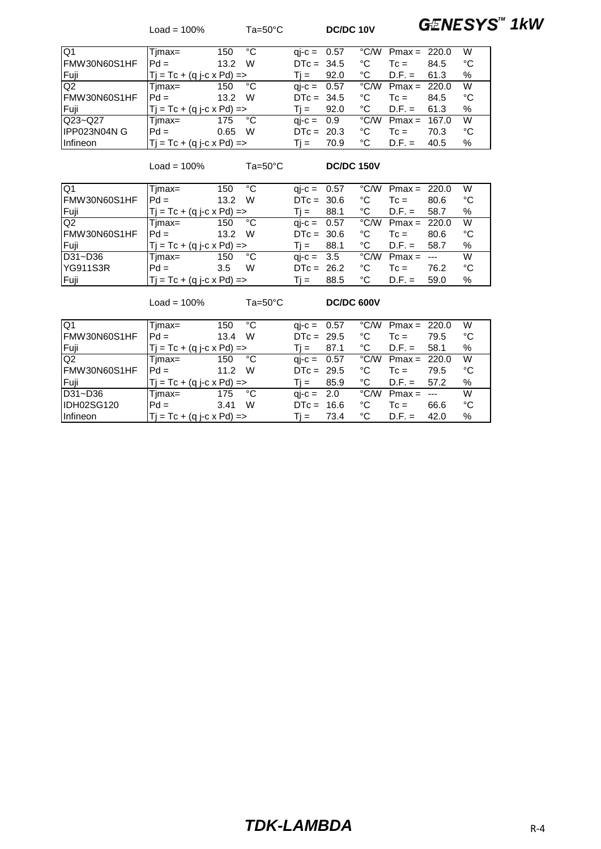Load = 100% Ta=50°C **DC/DC 10V GENESYS<sup>TM</sup> 1kW** 

| IQ1                | Timax=                             | °C<br>150 | $qi-c = 0.57$        |      |      | $\degree$ C/W Pmax = 220.0 |       | W  |
|--------------------|------------------------------------|-----------|----------------------|------|------|----------------------------|-------|----|
| IFMW30N60S1HF      | $Pd =$                             | W<br>13.2 | $DTC = 34.5$         |      | ℃    | $T_c =$                    | 84.5  | °C |
| Fuji               | $Tj = Tc + (q j-c \times Pd)$ =>   |           | Ti =                 | 92.0 | ℃    | $D.F. =$                   | 61.3  | %  |
| Q <sub>2</sub>     | Timax=                             | °C<br>150 | $\text{ai-c} = 0.57$ |      |      | $\degree$ C/W Pmax = 220.0 |       | W  |
| IFMW30N60S1HF      | $Pd =$                             | W<br>13.2 | $DTC = 34.5$         |      | ℃    | $Tc =$                     | 84.5  | °C |
| Fuji               | $ T  = Tc + (q i-c \times Pd) =$   |           | $T_i =$              | 92.0 | ℃    | $D.F. =$                   | 61.3  | %  |
| $Q23 - Q27$        | Timax=                             | °C<br>175 | $\text{ai-c} = 0.9$  |      | °C/W | Pmax =                     | 167.0 | W  |
| <b>IPP023N04NG</b> | $Pd =$                             | W<br>0.65 | $DTC = 20.3$         |      | ℃    | $Tc =$                     | 70.3  | °C |
| <b>Infineon</b>    | $Tj = Tc + (q j - c \times Pd)$ => |           | Ti = I               | 70.9 | ℃    | $D.F. =$                   | 40.5  | %  |

Load = 100% Ta=50°C **DC/DC 150V**

| IQ1           | Timax=                              | 150    | °C | $qi-c = 0.57$        |      |      | $\degree$ C/W Pmax = 220.0 |      | W    |
|---------------|-------------------------------------|--------|----|----------------------|------|------|----------------------------|------|------|
| FMW30N60S1HF  | $Pd =$                              | 13.2   | W  | $DTC = 30.6$         |      | °C   | $T_c =$                    | 80.6 | °C   |
| Fuji          | $Tj = Tc + (q j - c \times Pd) = >$ |        |    | Ti =                 | 88.1 | ℃    | $D.F. =$                   | 58.7 | %    |
| Q2            | Timax=                              | 150    | °C | $\text{ai-c} = 0.57$ |      |      | $\degree$ C/W Pmax = 220.0 |      | W    |
| IFMW30N60S1HF | $Pd =$                              | - 13.2 | W  | $DTC = 30.6$         |      | °C   | $Tc =$                     | 80.6 | °C   |
| Fuji          | $Tj = Tc + (q j-c \times Pd)$ =>    |        |    | Ti = I               | 88.1 | ℃    | $D.F. =$                   | 58.7 | $\%$ |
| D31~D36       | Timax=                              | 150    | °C | $\text{ai-c} = 3.5$  |      | °C/W | $Pmax = -$                 |      | W    |
| YG911S3R      | $Pd =$                              | 3.5    | W  | $DTC = 26.2$         |      | °C   | $T_c =$                    | 76.2 | °C   |
| Fuji          | $T_i = Tc + (q i - c \times Pd) =$  |        |    | $\overline{11}$ =    | 88.5 | °C   | $D.F. =$                   | 59.0 | %    |

Load = 100% Ta=50°C **DC/DC 600V**

| IQ1             | Timax=                              | °C<br>150 | $qi-c = 0.57$        |      | $\degree$ C/W Pmax = 220.0 |                      | W  |
|-----------------|-------------------------------------|-----------|----------------------|------|----------------------------|----------------------|----|
| IFMW30N60S1HF   | $Pd =$                              | W<br>13.4 | $DTC = 29.5$         | °C   | $T_c =$                    | 79.5                 | °C |
| Fuji            | $Tj = Tc + (q j - c \times Pd) = >$ |           | 87.1<br>Ti =         | °C   | $D.F. =$                   | 58.1                 | %  |
| Q <sub>2</sub>  | Timax=                              | °C<br>150 | $\text{ai-c} = 0.57$ |      | $\degree$ C/W Pmax = 220.0 |                      | W  |
| IFMW30N60S1HF   | $Pd =$                              | W<br>11.2 | $DTC = 29.5$         | °C   | $T_c =$                    | 79.5                 | °C |
| lFuii           | $Tj = Tc + (q j - c \times Pd)$ =>  |           | 85.9<br>Ti =         | ℃    | $D.F. =$                   | 57.2                 | %  |
| D31~D36         | Timax=                              | °C<br>175 | $\text{ai-c} = 2.0$  | °C/W | $Pmax =$                   | $\sim$ $\sim$ $\sim$ | W  |
| IDH02SG120      | $Pd =$                              | W<br>3.41 | $DTC = 16.6$         | °C   | $T_c =$                    | 66.6                 | °C |
| <b>Infineon</b> | $T_i = Tc + (q i - c \times Pd) =$  |           | 73.4<br>Ti =         | °C   | $D.F. =$                   | 42.0                 | %  |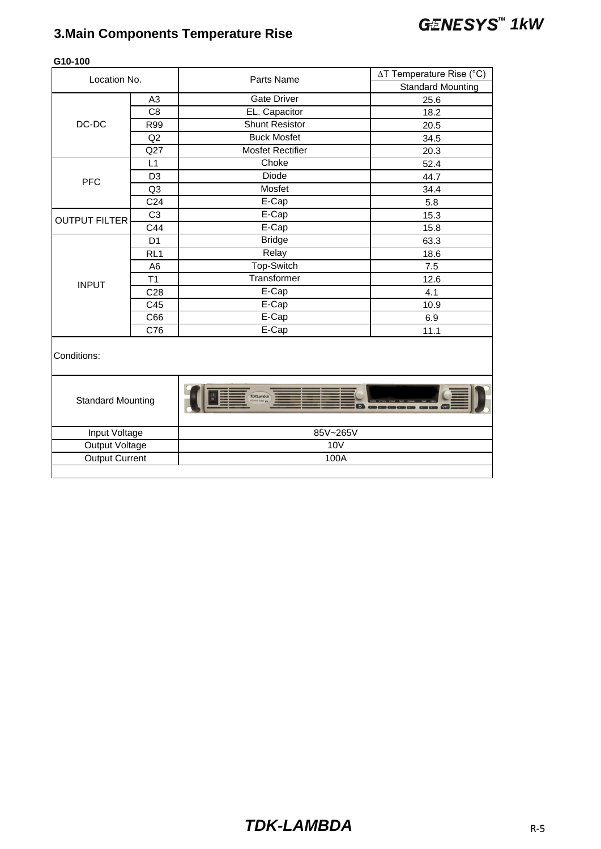# *1kW* **3.Main Components Temperature Rise**

| Location No.             |                 | Parts Name              | ∆T Temperature Rise (°C) |  |  |
|--------------------------|-----------------|-------------------------|--------------------------|--|--|
|                          |                 |                         | <b>Standard Mounting</b> |  |  |
|                          | A <sub>3</sub>  | <b>Gate Driver</b>      | 25.6                     |  |  |
|                          | C <sub>8</sub>  | EL. Capacitor           | 18.2                     |  |  |
| DC-DC                    | R99             | <b>Shunt Resistor</b>   | 20.5                     |  |  |
|                          | Q2              | <b>Buck Mosfet</b>      | 34.5                     |  |  |
|                          | Q27             | <b>Mosfet Rectifier</b> | 20.3                     |  |  |
|                          | L1              | Choke                   | 52.4                     |  |  |
| <b>PFC</b>               | D <sub>3</sub>  | <b>Diode</b>            | 44.7                     |  |  |
|                          | Q3              | Mosfet                  | 34.4                     |  |  |
|                          | C <sub>24</sub> | E-Cap                   | 5.8                      |  |  |
| <b>OUTPUT FILTER</b>     | C <sub>3</sub>  | E-Cap                   | 15.3                     |  |  |
|                          | C44             | E-Cap                   | 15.8                     |  |  |
|                          | D <sub>1</sub>  | <b>Bridge</b>           | 63.3                     |  |  |
|                          | RL <sub>1</sub> | Relay                   | 18.6                     |  |  |
|                          | A <sub>6</sub>  | Top-Switch              | 7.5                      |  |  |
| <b>INPUT</b>             | T1              | Transformer             | 12.6                     |  |  |
|                          | C <sub>28</sub> | E-Cap                   | 4.1                      |  |  |
|                          | C45             | E-Cap                   | 10.9                     |  |  |
|                          | C66             | E-Cap                   | 6.9                      |  |  |
|                          | C76             | E-Cap                   | 11.1                     |  |  |
| Conditions:              |                 |                         |                          |  |  |
| <b>Standard Mounting</b> |                 | <b>TDK-Lambda</b>       |                          |  |  |
| Input Voltage            |                 | 85V~265V                |                          |  |  |
| Output Voltage           |                 | <b>10V</b>              |                          |  |  |
| <b>Output Current</b>    |                 | 100A                    |                          |  |  |
|                          |                 |                         |                          |  |  |

### **G10-100**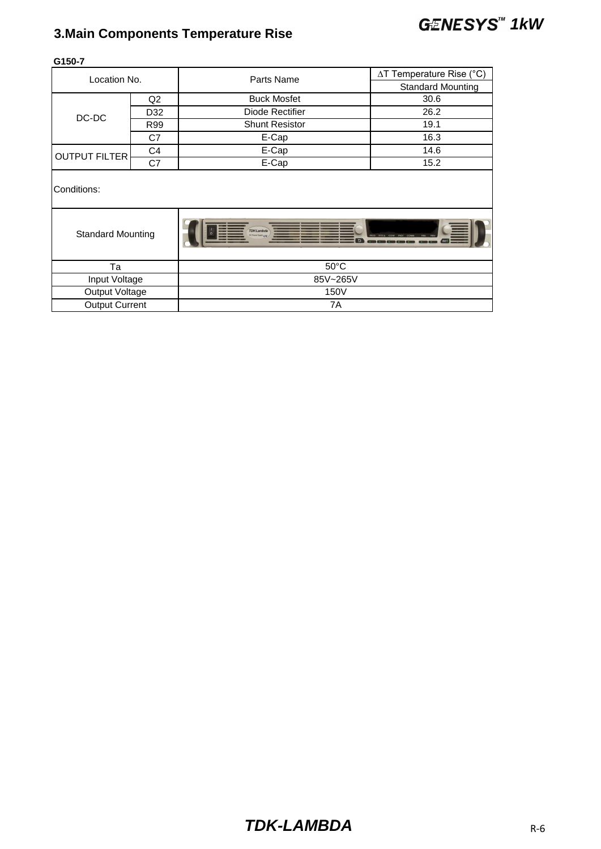# *1kW* **3.Main Components Temperature Rise**

|                          |                                                     | ∆T Temperature Rise (°C) |  |  |  |
|--------------------------|-----------------------------------------------------|--------------------------|--|--|--|
|                          |                                                     | <b>Standard Mounting</b> |  |  |  |
| Q2                       | <b>Buck Mosfet</b>                                  | 30.6                     |  |  |  |
| D32                      | Diode Rectifier                                     | 26.2                     |  |  |  |
| R99                      | <b>Shunt Resistor</b>                               | 19.1                     |  |  |  |
| C7                       | E-Cap                                               | 16.3                     |  |  |  |
| C4                       | E-Cap                                               | 14.6                     |  |  |  |
| C7                       | E-Cap                                               | 15.2                     |  |  |  |
|                          |                                                     |                          |  |  |  |
| <b>Standard Mounting</b> | <b>TDK-Lambda</b><br><b>C Power Supply # N</b><br>ь |                          |  |  |  |
|                          | $50^{\circ}$ C                                      |                          |  |  |  |
| Input Voltage            | 85V~265V                                            |                          |  |  |  |
| Output Voltage           | 150V                                                |                          |  |  |  |
| <b>Output Current</b>    | 7A                                                  |                          |  |  |  |
|                          | Location No.                                        | Parts Name               |  |  |  |

**G150-7**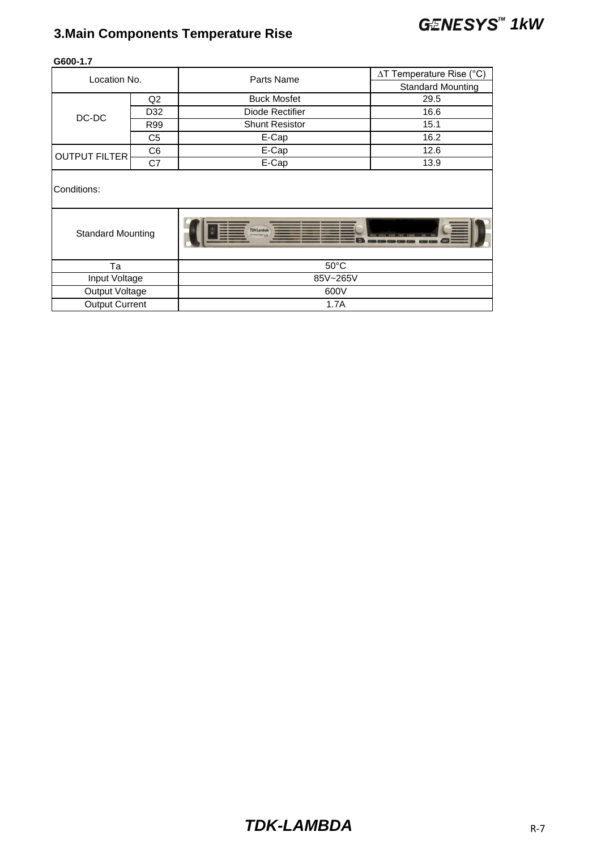# *1kW* **3.Main Components Temperature Rise**

| Location No.             |                |                       | $\Delta T$ Temperature Rise (°C) |  |  |  |
|--------------------------|----------------|-----------------------|----------------------------------|--|--|--|
|                          |                | Parts Name            | <b>Standard Mounting</b>         |  |  |  |
|                          | Q2             | <b>Buck Mosfet</b>    | 29.5                             |  |  |  |
| DC-DC                    | D32            | Diode Rectifier       | 16.6                             |  |  |  |
|                          | R99            | <b>Shunt Resistor</b> | 15.1                             |  |  |  |
|                          | C <sub>5</sub> | E-Cap                 | 16.2                             |  |  |  |
| <b>OUTPUT FILTER</b>     | C <sub>6</sub> | E-Cap                 | 12.6                             |  |  |  |
|                          | C7             | E-Cap                 | 13.9                             |  |  |  |
| Conditions:              |                |                       |                                  |  |  |  |
| <b>Standard Mounting</b> |                | <b>TDK-Lambda</b>     |                                  |  |  |  |
| Ta                       |                | $50^{\circ}$ C        |                                  |  |  |  |
| Input Voltage            |                | 85V~265V              |                                  |  |  |  |
| Output Voltage           |                | 600V                  |                                  |  |  |  |
| <b>Output Current</b>    |                | 1.7A                  |                                  |  |  |  |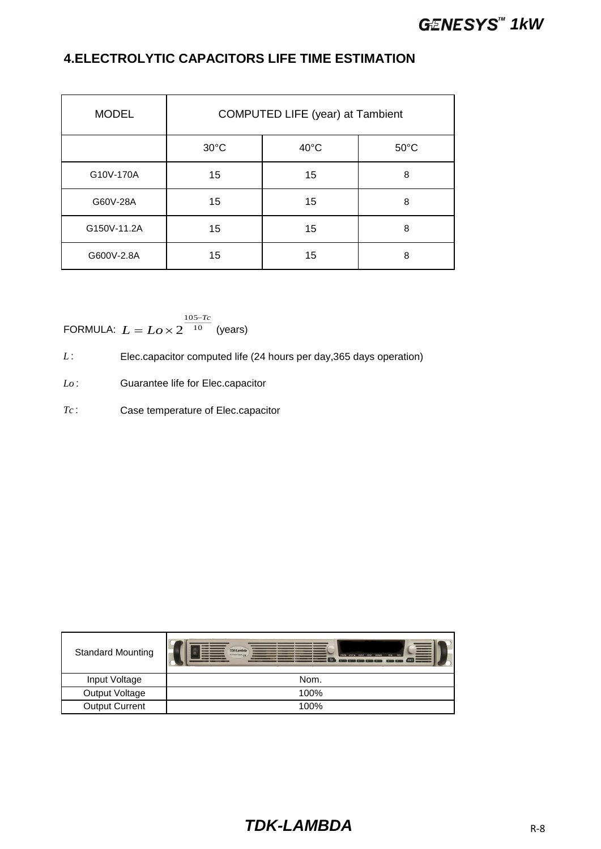### **4.ELECTROLYTIC CAPACITORS LIFE TIME ESTIMATION**

| <b>MODEL</b> | <b>COMPUTED LIFE (year) at Tambient</b> |                |                |  |  |  |  |  |  |  |  |  |  |
|--------------|-----------------------------------------|----------------|----------------|--|--|--|--|--|--|--|--|--|--|
|              | $30^{\circ}$ C                          | $40^{\circ}$ C | $50^{\circ}$ C |  |  |  |  |  |  |  |  |  |  |
| G10V-170A    | 15                                      | 15             | 8              |  |  |  |  |  |  |  |  |  |  |
| G60V-28A     | 15                                      | 15             | 8              |  |  |  |  |  |  |  |  |  |  |
| G150V-11.2A  | 15                                      | 15             | 8              |  |  |  |  |  |  |  |  |  |  |
| G600V-2.8A   | 15                                      | 15             | 8              |  |  |  |  |  |  |  |  |  |  |

FORMULA: 
$$
L = Lo \times 2^{\frac{105 - Tc}{10}}
$$
 (years)

*L* : Elec.capacitor computed life (24 hours per day, 365 days operation)

*Lo* : Guarantee life for Elec.capacitor

*Tc* : Case temperature of Elec.capacitor

| <b>Standard Mounting</b> | <b>TDK-Lambd</b><br>FROG SYST/N CONF FROT COMM FINE FREV<br><b>DO FOUR SUITE ITS</b><br>$\overline{b}$ |
|--------------------------|--------------------------------------------------------------------------------------------------------|
| Input Voltage            | Nom.                                                                                                   |
| Output Voltage           | 100%                                                                                                   |
| <b>Output Current</b>    | 100%                                                                                                   |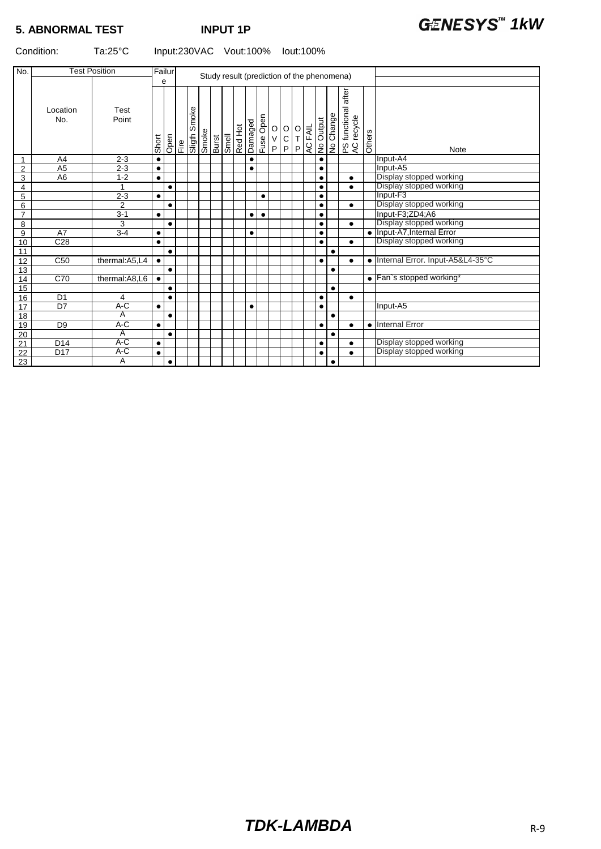| No.             |                 | <b>Test Position</b>    |           | Failur<br>Study result (prediction of the phenomena) |      |        |       |              |  |                             |                        |                                             |         |                                              |                |           |           |                                        |           |                                  |
|-----------------|-----------------|-------------------------|-----------|------------------------------------------------------|------|--------|-------|--------------|--|-----------------------------|------------------------|---------------------------------------------|---------|----------------------------------------------|----------------|-----------|-----------|----------------------------------------|-----------|----------------------------------|
|                 | Location<br>No. | Test<br>Point           |           | е                                                    |      | Smoke  |       |              |  |                             |                        |                                             |         |                                              |                |           |           | after<br>PS functional a<br>AC recycle |           |                                  |
|                 |                 |                         | Short     | Open                                                 | Fire | Sligth | Smoke | <b>Burst</b> |  | Smell<br>Red Hot<br>Damaged | Fuse Open              | $\begin{bmatrix} 0 \\ V \\ P \end{bmatrix}$ | $\circ$ | $\begin{array}{c}\n0 \\ T \\ P\n\end{array}$ | <b>AC FAIL</b> | No Output | No Change |                                        | Others    | Note                             |
| 1               | A <sub>4</sub>  | $2 - 3$                 | $\bullet$ |                                                      |      |        |       |              |  |                             | $\bullet$              |                                             |         |                                              |                | $\bullet$ |           |                                        |           | Input-A4                         |
| $\overline{2}$  | A <sub>5</sub>  | $2 - 3$                 | $\bullet$ |                                                      |      |        |       |              |  |                             | $\bullet$              |                                             |         |                                              |                | ٠         |           |                                        |           | Input-A5                         |
| 3               | A <sub>6</sub>  | $1 - 2$                 | $\bullet$ |                                                      |      |        |       |              |  |                             |                        |                                             |         |                                              |                | $\bullet$ |           | $\bullet$                              |           | Display stopped working          |
| 4               |                 |                         |           | $\bullet$                                            |      |        |       |              |  |                             |                        |                                             |         |                                              |                | $\bullet$ |           | $\bullet$                              |           | Display stopped working          |
| 5               |                 | $2 - 3$                 | $\bullet$ |                                                      |      |        |       |              |  |                             | $\bullet$              |                                             |         |                                              |                | $\bullet$ |           |                                        |           | Input-F3                         |
| 6               |                 | $\overline{2}$          |           | $\bullet$                                            |      |        |       |              |  |                             |                        |                                             |         |                                              |                | $\bullet$ |           | $\bullet$                              |           | Display stopped working          |
| $\overline{7}$  |                 | $3 - 1$                 | $\bullet$ |                                                      |      |        |       |              |  |                             | $\bullet$<br>$\bullet$ |                                             |         |                                              |                | $\bullet$ |           |                                        |           | Input-F3;ZD4;A6                  |
| 8               |                 | 3                       |           | $\bullet$                                            |      |        |       |              |  |                             |                        |                                             |         |                                              |                | $\bullet$ |           | $\bullet$                              |           | Display stopped working          |
| 9               | A7              | $3 - 4$                 | $\bullet$ |                                                      |      |        |       |              |  |                             | $\bullet$              |                                             |         |                                              |                | $\bullet$ |           |                                        |           | · Input-A7, Internal Error       |
| 10              | C28             |                         | $\bullet$ |                                                      |      |        |       |              |  |                             |                        |                                             |         |                                              |                | $\bullet$ |           | $\bullet$                              |           | Display stopped working          |
| 11              |                 |                         |           | $\bullet$                                            |      |        |       |              |  |                             |                        |                                             |         |                                              |                |           | $\bullet$ |                                        |           |                                  |
| 12              | C50             | thermal:A5,L4           | $\bullet$ |                                                      |      |        |       |              |  |                             |                        |                                             |         |                                              |                | $\bullet$ |           | $\bullet$                              | $\bullet$ | Internal Error. Input-A5&L4-35°C |
| 13              |                 |                         |           | $\bullet$                                            |      |        |       |              |  |                             |                        |                                             |         |                                              |                |           | $\bullet$ |                                        |           |                                  |
| 14              | C70             | thermal:A8,L6           | $\bullet$ |                                                      |      |        |       |              |  |                             |                        |                                             |         |                                              |                |           |           |                                        |           | • Fan`s stopped working*         |
| 15              |                 |                         |           | $\bullet$                                            |      |        |       |              |  |                             |                        |                                             |         |                                              |                |           | $\bullet$ |                                        |           |                                  |
| 16              | D <sub>1</sub>  | 4                       |           | $\bullet$                                            |      |        |       |              |  |                             |                        |                                             |         |                                              |                | $\bullet$ |           | $\bullet$                              |           |                                  |
| 17              | D7              | $A-C$                   | $\bullet$ |                                                      |      |        |       |              |  |                             | $\bullet$              |                                             |         |                                              |                | $\bullet$ |           |                                        |           | Input-A5                         |
| 18              |                 | $\overline{A}$          |           | $\bullet$                                            |      |        |       |              |  |                             |                        |                                             |         |                                              |                |           | $\bullet$ |                                        |           |                                  |
| 19              | D <sub>9</sub>  | $A-C$                   | $\bullet$ |                                                      |      |        |       |              |  |                             |                        |                                             |         |                                              |                | $\bullet$ |           | $\bullet$                              | $\bullet$ | <b>Internal Error</b>            |
| 20              |                 | $\overline{\mathsf{A}}$ |           | $\bullet$                                            |      |        |       |              |  |                             |                        |                                             |         |                                              |                |           | $\bullet$ |                                        |           |                                  |
| 21              | D <sub>14</sub> | A-C                     | $\bullet$ |                                                      |      |        |       |              |  |                             |                        |                                             |         |                                              |                | $\bullet$ |           | $\bullet$                              |           | Display stopped working          |
| 22              | D <sub>17</sub> | A-C                     | $\bullet$ |                                                      |      |        |       |              |  |                             |                        |                                             |         |                                              |                | $\bullet$ |           | $\bullet$                              |           | Display stopped working          |
| $\overline{23}$ |                 | $\overline{A}$          |           | $\bullet$                                            |      |        |       |              |  |                             |                        |                                             |         |                                              |                |           | $\bullet$ |                                        |           |                                  |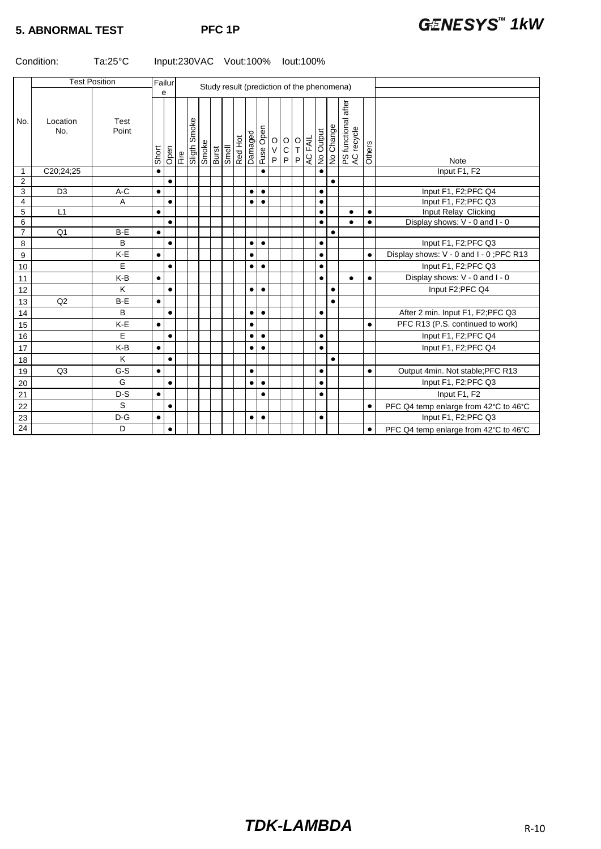|                |                 | <b>Test Position</b> |           | Failur    |                               |  |       |  |                                          |           |                                                                    |                                              |                      |           |           | Study result (prediction of the phenomena) |           |                                          |
|----------------|-----------------|----------------------|-----------|-----------|-------------------------------|--|-------|--|------------------------------------------|-----------|--------------------------------------------------------------------|----------------------------------------------|----------------------|-----------|-----------|--------------------------------------------|-----------|------------------------------------------|
| No.            | Location<br>No. | Test<br>Point        | Short     | e<br>Open | Fire<br>Sligth Smoke<br>Smoke |  | Burst |  | Smell<br>Red Hot<br>Damaged<br>Fuse Open |           | $\begin{array}{c c}\n0 & 0 \\ 0 & 0 \\ \hline\nP & 0\n\end{array}$ | $\begin{array}{c}\n0 \\ T \\ P\n\end{array}$ | AC FAIL<br>No Output |           | No Change | after<br>PS functional a<br>AC recycle     | Others    | <b>Note</b>                              |
| 1              | C20;24;25       |                      | $\bullet$ |           |                               |  |       |  |                                          |           |                                                                    |                                              |                      | $\bullet$ |           |                                            |           | Input F1, F2                             |
| $\overline{2}$ |                 |                      |           | $\bullet$ |                               |  |       |  |                                          |           |                                                                    |                                              |                      |           | $\bullet$ |                                            |           |                                          |
| 3              | D <sub>3</sub>  | $A-C$                | $\bullet$ |           |                               |  |       |  | $\bullet$                                | $\bullet$ |                                                                    |                                              |                      | $\bullet$ |           |                                            |           | Input F1, F2;PFC Q4                      |
| 4              |                 | A                    |           | $\bullet$ |                               |  |       |  | $\bullet$                                | $\bullet$ |                                                                    |                                              |                      | $\bullet$ |           |                                            |           | Input F1, F2;PFC Q3                      |
| 5              | L1              |                      | $\bullet$ |           |                               |  |       |  |                                          |           |                                                                    |                                              |                      | $\bullet$ |           | $\bullet$                                  | $\bullet$ | Input Relay Clicking                     |
| 6              |                 |                      |           | $\bullet$ |                               |  |       |  |                                          |           |                                                                    |                                              |                      | $\bullet$ |           | $\bullet$                                  | $\bullet$ | Display shows: V - 0 and I - 0           |
| $\overline{7}$ | Q <sub>1</sub>  | B-E                  | $\bullet$ |           |                               |  |       |  |                                          |           |                                                                    |                                              |                      |           | $\bullet$ |                                            |           |                                          |
| 8              |                 | B                    |           | $\bullet$ |                               |  |       |  | $\bullet$                                | $\bullet$ |                                                                    |                                              |                      | $\bullet$ |           |                                            |           | Input F1, F2; PFC Q3                     |
| 9              |                 | K-E                  | $\bullet$ |           |                               |  |       |  | $\bullet$                                |           |                                                                    |                                              |                      | $\bullet$ |           |                                            | $\bullet$ | Display shows: V - 0 and I - 0 : PFC R13 |
| 10             |                 | $\mathsf E$          |           | $\bullet$ |                               |  |       |  | $\bullet$                                | $\bullet$ |                                                                    |                                              |                      | $\bullet$ |           |                                            |           | Input F1, F2;PFC Q3                      |
| 11             |                 | K-B                  | $\bullet$ |           |                               |  |       |  |                                          |           |                                                                    |                                              |                      | $\bullet$ |           |                                            | $\bullet$ | Display shows: V - 0 and I - 0           |
| 12             |                 | K                    |           | $\bullet$ |                               |  |       |  | $\bullet$                                | $\bullet$ |                                                                    |                                              |                      |           | $\bullet$ |                                            |           | Input F2;PFC Q4                          |
| 13             | Q2              | B-E                  | $\bullet$ |           |                               |  |       |  |                                          |           |                                                                    |                                              |                      |           | $\bullet$ |                                            |           |                                          |
| 14             |                 | B                    |           | $\bullet$ |                               |  |       |  | $\bullet$                                | $\bullet$ |                                                                    |                                              |                      | $\bullet$ |           |                                            |           | After 2 min. Input F1, F2; PFC Q3        |
| 15             |                 | K-E                  | $\bullet$ |           |                               |  |       |  | $\bullet$                                |           |                                                                    |                                              |                      |           |           |                                            | $\bullet$ | PFC R13 (P.S. continued to work)         |
| 16             |                 | E                    |           | $\bullet$ |                               |  |       |  | $\bullet$                                | $\bullet$ |                                                                    |                                              |                      | $\bullet$ |           |                                            |           | Input F1, F2; PFC Q4                     |
| 17             |                 | K-B                  | $\bullet$ |           |                               |  |       |  | $\bullet$                                | $\bullet$ |                                                                    |                                              |                      | $\bullet$ |           |                                            |           | Input F1, F2;PFC Q4                      |
| 18             |                 | K                    |           | $\bullet$ |                               |  |       |  |                                          |           |                                                                    |                                              |                      |           | $\bullet$ |                                            |           |                                          |
| 19             | Q3              | $G-S$                | $\bullet$ |           |                               |  |       |  | $\bullet$                                |           |                                                                    |                                              |                      | $\bullet$ |           |                                            | $\bullet$ | Output 4min. Not stable; PFC R13         |
| 20             |                 | G                    |           | $\bullet$ |                               |  |       |  | $\bullet$                                | $\bullet$ |                                                                    |                                              |                      | $\bullet$ |           |                                            |           | Input F1, F2;PFC Q3                      |
| 21             |                 | $D-S$                | $\bullet$ |           |                               |  |       |  |                                          | $\bullet$ |                                                                    |                                              |                      | $\bullet$ |           |                                            |           | Input F1, F2                             |
| 22             |                 | S                    |           | $\bullet$ |                               |  |       |  |                                          |           |                                                                    |                                              |                      |           |           |                                            | $\bullet$ | PFC Q4 temp enlarge from 42°C to 46°C    |
| 23             |                 | $D-G$                | $\bullet$ |           |                               |  |       |  | $\bullet$                                | $\bullet$ |                                                                    |                                              |                      | $\bullet$ |           |                                            |           | Input F1, F2; PFC Q3                     |
| 24             |                 | D                    |           | $\bullet$ |                               |  |       |  |                                          |           |                                                                    |                                              |                      |           |           |                                            | $\bullet$ | PFC Q4 temp enlarge from 42°C to 46°C    |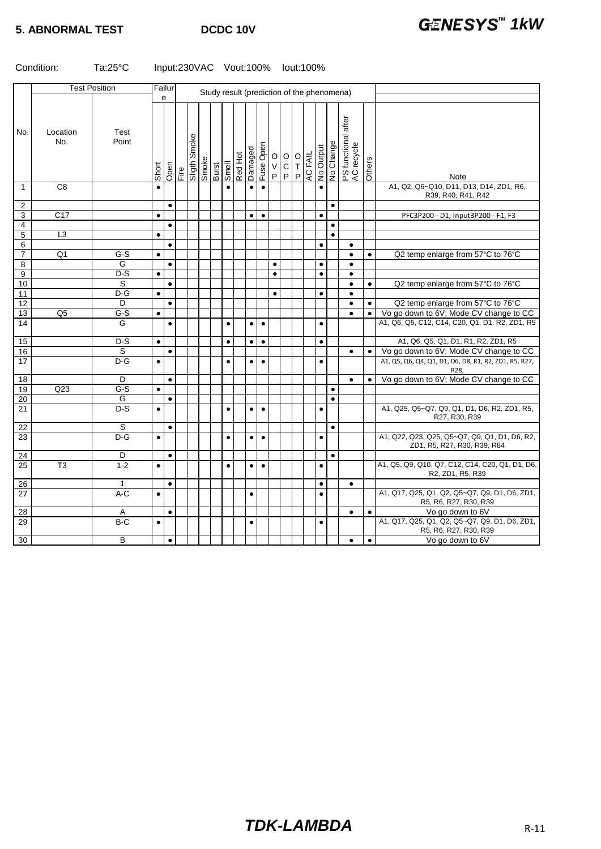|                  | <b>Test Position</b> |                  | Failur<br>Study result (prediction of the phenomena) |           |  |                      |       |              |           |         |           |           |             |                                                                         |                |                      |           |           |                                        |           |                                                                                          |
|------------------|----------------------|------------------|------------------------------------------------------|-----------|--|----------------------|-------|--------------|-----------|---------|-----------|-----------|-------------|-------------------------------------------------------------------------|----------------|----------------------|-----------|-----------|----------------------------------------|-----------|------------------------------------------------------------------------------------------|
|                  |                      |                  |                                                      | e         |  |                      |       |              |           |         |           |           |             |                                                                         |                |                      |           |           |                                        |           |                                                                                          |
| No.              | Location<br>No.      | Test<br>Point    | Short                                                | Open      |  | Fire<br>Sligth Smoke | eyoug | <b>Burst</b> | Smell     | Red Hot | Damaged   | Fuse Open | $\mathsf P$ | $\begin{bmatrix} 0 & 0 \\ 0 & T \end{bmatrix}$<br>$\overline{C}$<br>$P$ | $\overline{P}$ | AC FAIL<br>No Output |           | No Change | after<br>PS functional a<br>AC recycle | Others    | <b>Note</b>                                                                              |
| $\mathbf 1$      | C <sub>8</sub>       |                  | $\bullet$                                            |           |  |                      |       |              |           |         | $\bullet$ | $\bullet$ |             |                                                                         |                |                      | $\bullet$ |           |                                        |           | A1, Q2, Q6~Q10, D11, D13, D14, ZD1, R6,<br>R39, R40, R41, R42                            |
| $\boldsymbol{2}$ |                      |                  |                                                      | $\bullet$ |  |                      |       |              |           |         |           |           |             |                                                                         |                |                      |           | $\bullet$ |                                        |           |                                                                                          |
| 3                | C <sub>17</sub>      |                  | $\bullet$                                            |           |  |                      |       |              |           |         | $\bullet$ | $\bullet$ |             |                                                                         |                |                      | $\bullet$ |           |                                        |           | PFC3P200 - D1; Input3P200 - F1, F3                                                       |
| $\overline{4}$   |                      |                  |                                                      | $\bullet$ |  |                      |       |              |           |         |           |           |             |                                                                         |                |                      |           | $\bullet$ |                                        |           |                                                                                          |
| $\mathbf 5$      | $\overline{L3}$      |                  | $\bullet$                                            |           |  |                      |       |              |           |         |           |           |             |                                                                         |                |                      |           | $\bullet$ |                                        |           |                                                                                          |
| 6                |                      |                  |                                                      | $\bullet$ |  |                      |       |              |           |         |           |           |             |                                                                         |                |                      | $\bullet$ |           | $\bullet$                              |           |                                                                                          |
| $\overline{7}$   | Q1                   | G-S              | $\bullet$                                            |           |  |                      |       |              |           |         |           |           |             |                                                                         |                |                      |           |           | $\bullet$                              | $\bullet$ | Q2 temp enlarge from 57°C to 76°C                                                        |
| 8                |                      | G                |                                                      | $\bullet$ |  |                      |       |              |           |         |           |           | $\bullet$   |                                                                         |                |                      | $\bullet$ |           | $\bullet$                              |           |                                                                                          |
| 9                |                      | $D-S$            | $\bullet$                                            |           |  |                      |       |              |           |         |           |           | $\bullet$   |                                                                         |                |                      | $\bullet$ |           | $\bullet$                              |           |                                                                                          |
| 10               |                      | S                |                                                      | $\bullet$ |  |                      |       |              |           |         |           |           |             |                                                                         |                |                      |           |           | $\bullet$                              | $\bullet$ | Q2 temp enlarge from 57°C to 76°C                                                        |
| 11               |                      | $D-G$            | $\bullet$                                            |           |  |                      |       |              |           |         |           |           | $\bullet$   |                                                                         |                |                      | $\bullet$ |           | $\bullet$                              |           |                                                                                          |
| 12               |                      | D                |                                                      | $\bullet$ |  |                      |       |              |           |         |           |           |             |                                                                         |                |                      |           |           | $\bullet$                              | $\bullet$ | Q2 temp enlarge from 57°C to 76°C                                                        |
| 13<br>14         | Q <sub>5</sub>       | $G-S$<br>G       | $\bullet$                                            |           |  |                      |       |              |           |         |           |           |             |                                                                         |                |                      |           |           | $\bullet$                              | $\bullet$ | Vo go down to 6V; Mode CV change to CC<br>A1, Q6, Q5, C12, C14, C20, Q1, D1, R2, ZD1, R5 |
|                  |                      |                  |                                                      | $\bullet$ |  |                      |       |              | $\bullet$ |         | $\bullet$ | $\bullet$ |             |                                                                         |                |                      | $\bullet$ |           |                                        |           |                                                                                          |
| 15               |                      | $D-S$            | $\bullet$                                            |           |  |                      |       |              | $\bullet$ |         | $\bullet$ | $\bullet$ |             |                                                                         |                |                      | $\bullet$ |           |                                        |           | A1, Q6, Q5, Q1, D1, R1, R2, ZD1, R5                                                      |
| 16               |                      | S                |                                                      | $\bullet$ |  |                      |       |              |           |         |           |           |             |                                                                         |                |                      |           |           | $\bullet$                              | $\bullet$ | Vo go down to 6V; Mode CV change to CC                                                   |
| $\overline{17}$  |                      | $D-G$            | $\bullet$                                            |           |  |                      |       |              | $\bullet$ |         | $\bullet$ | $\bullet$ |             |                                                                         |                |                      | $\bullet$ |           |                                        |           | A1, Q5, Q6, Q4, Q1, D1, D6, D8, R1, R2, ZD1, R5, R27,<br>R28.                            |
| 18               |                      | D                |                                                      | $\bullet$ |  |                      |       |              |           |         |           |           |             |                                                                         |                |                      |           |           | $\bullet$                              | $\bullet$ | Vo go down to 6V; Mode CV change to CC                                                   |
| 19               | Q23                  | $G-S$            | $\bullet$                                            |           |  |                      |       |              |           |         |           |           |             |                                                                         |                |                      |           | $\bullet$ |                                        |           |                                                                                          |
| 20               |                      | G                |                                                      | $\bullet$ |  |                      |       |              |           |         |           |           |             |                                                                         |                |                      |           | $\bullet$ |                                        |           |                                                                                          |
| 21               |                      | $\overline{D-S}$ | $\bullet$                                            |           |  |                      |       |              | $\bullet$ |         | $\bullet$ | $\bullet$ |             |                                                                         |                |                      | $\bullet$ |           |                                        |           | A1, Q25, Q5~Q7, Q9, Q1, D1, D6, R2, ZD1, R5,<br>R27, R30, R39                            |
| 22               |                      | S                |                                                      | $\bullet$ |  |                      |       |              |           |         |           |           |             |                                                                         |                |                      |           | $\bullet$ |                                        |           |                                                                                          |
| 23               |                      | $D-G$            | $\bullet$                                            |           |  |                      |       |              | $\bullet$ |         | $\bullet$ | $\bullet$ |             |                                                                         |                |                      | $\bullet$ |           |                                        |           | A1, Q22, Q23, Q25, Q5~Q7, Q9, Q1, D1, D6, R2,<br>ZD1, R5, R27, R30, R39, R84             |
| 24               |                      | D                |                                                      | $\bullet$ |  |                      |       |              |           |         |           |           |             |                                                                         |                |                      |           | $\bullet$ |                                        |           |                                                                                          |
| 25               | T3                   | $1 - 2$          | $\bullet$                                            |           |  |                      |       |              | $\bullet$ |         | $\bullet$ | $\bullet$ |             |                                                                         |                |                      | $\bullet$ |           |                                        |           | A1, Q5, Q9, Q10, Q7, C12, C14, C20, Q1, D1, D6,<br>R2, ZD1, R5, R39                      |
| 26               |                      | $\mathbf{1}$     |                                                      | $\bullet$ |  |                      |       |              |           |         |           |           |             |                                                                         |                |                      | $\bullet$ |           | $\bullet$                              |           |                                                                                          |
| 27               |                      | $A-C$            | $\bullet$                                            |           |  |                      |       |              |           |         | $\bullet$ |           |             |                                                                         |                |                      | $\bullet$ |           |                                        |           | A1, Q17, Q25, Q1, Q2, Q5~Q7, Q9, D1, D6, ZD1,<br>R5, R6, R27, R30, R39                   |
| 28               |                      | A                |                                                      | $\bullet$ |  |                      |       |              |           |         |           |           |             |                                                                         |                |                      |           |           | $\bullet$                              | $\bullet$ | Vo go down to 6V                                                                         |
| 29               |                      | $B-C$            | $\bullet$                                            |           |  |                      |       |              |           |         | $\bullet$ |           |             |                                                                         |                |                      | $\bullet$ |           |                                        |           | A1, Q17, Q25, Q1, Q2, Q5~Q7, Q9, D1, D6, ZD1,                                            |
|                  |                      |                  |                                                      |           |  |                      |       |              |           |         |           |           |             |                                                                         |                |                      |           |           |                                        |           | R5, R6, R27, R30, R39                                                                    |
| 30               |                      | B                |                                                      | $\bullet$ |  |                      |       |              |           |         |           |           |             |                                                                         |                |                      |           |           | $\bullet$                              | $\bullet$ | Vo go down to 6V                                                                         |